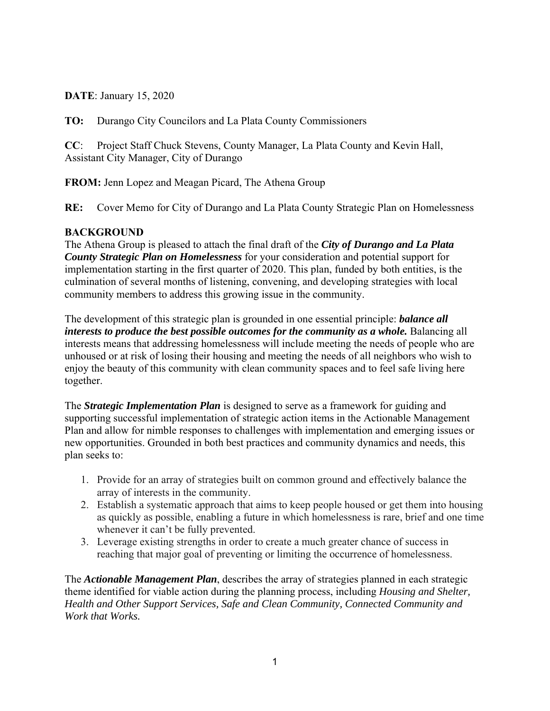**DATE**: January 15, 2020

**TO:** Durango City Councilors and La Plata County Commissioners

**CC**: Project Staff Chuck Stevens, County Manager, La Plata County and Kevin Hall, Assistant City Manager, City of Durango

**FROM:** Jenn Lopez and Meagan Picard, The Athena Group

**RE:** Cover Memo for City of Durango and La Plata County Strategic Plan on Homelessness

## **BACKGROUND**

The Athena Group is pleased to attach the final draft of the *City of Durango and La Plata County Strategic Plan on Homelessness* for your consideration and potential support for implementation starting in the first quarter of 2020. This plan, funded by both entities, is the culmination of several months of listening, convening, and developing strategies with local community members to address this growing issue in the community.

The development of this strategic plan is grounded in one essential principle: *balance all interests to produce the best possible outcomes for the community as a whole.* Balancing all interests means that addressing homelessness will include meeting the needs of people who are unhoused or at risk of losing their housing and meeting the needs of all neighbors who wish to enjoy the beauty of this community with clean community spaces and to feel safe living here together.

The *Strategic Implementation Plan* is designed to serve as a framework for guiding and supporting successful implementation of strategic action items in the Actionable Management Plan and allow for nimble responses to challenges with implementation and emerging issues or new opportunities. Grounded in both best practices and community dynamics and needs, this plan seeks to:

- 1. Provide for an array of strategies built on common ground and effectively balance the array of interests in the community.
- 2. Establish a systematic approach that aims to keep people housed or get them into housing as quickly as possible, enabling a future in which homelessness is rare, brief and one time whenever it can't be fully prevented.
- 3. Leverage existing strengths in order to create a much greater chance of success in reaching that major goal of preventing or limiting the occurrence of homelessness.

The *Actionable Management Plan*, describes the array of strategies planned in each strategic theme identified for viable action during the planning process, including *Housing and Shelter, Health and Other Support Services, Safe and Clean Community, Connected Community and Work that Works.*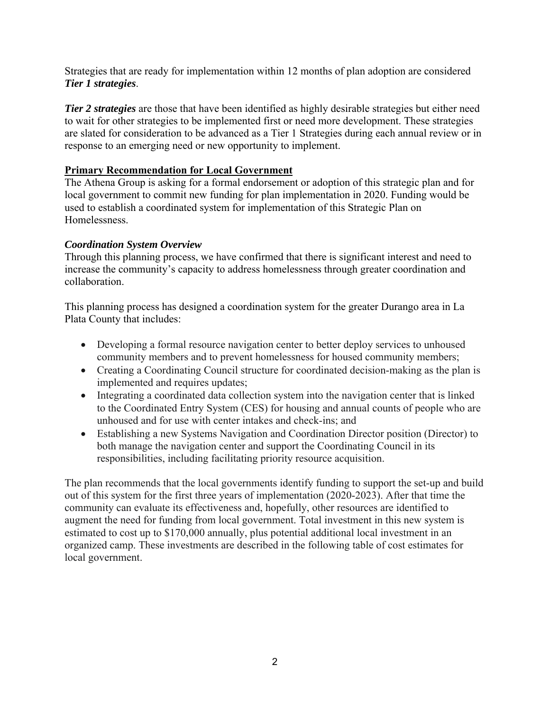Strategies that are ready for implementation within 12 months of plan adoption are considered *Tier 1 strategies*.

*Tier 2 strategies* are those that have been identified as highly desirable strategies but either need to wait for other strategies to be implemented first or need more development. These strategies are slated for consideration to be advanced as a Tier 1 Strategies during each annual review or in response to an emerging need or new opportunity to implement.

## **Primary Recommendation for Local Government**

The Athena Group is asking for a formal endorsement or adoption of this strategic plan and for local government to commit new funding for plan implementation in 2020. Funding would be used to establish a coordinated system for implementation of this Strategic Plan on Homelessness.

## *Coordination System Overview*

Through this planning process, we have confirmed that there is significant interest and need to increase the community's capacity to address homelessness through greater coordination and collaboration.

This planning process has designed a coordination system for the greater Durango area in La Plata County that includes:

- Developing a formal resource navigation center to better deploy services to unhoused community members and to prevent homelessness for housed community members;
- Creating a Coordinating Council structure for coordinated decision-making as the plan is implemented and requires updates;
- Integrating a coordinated data collection system into the navigation center that is linked to the Coordinated Entry System (CES) for housing and annual counts of people who are unhoused and for use with center intakes and check-ins; and
- Establishing a new Systems Navigation and Coordination Director position (Director) to both manage the navigation center and support the Coordinating Council in its responsibilities, including facilitating priority resource acquisition.

The plan recommends that the local governments identify funding to support the set-up and build out of this system for the first three years of implementation (2020-2023). After that time the community can evaluate its effectiveness and, hopefully, other resources are identified to augment the need for funding from local government. Total investment in this new system is estimated to cost up to \$170,000 annually, plus potential additional local investment in an organized camp. These investments are described in the following table of cost estimates for local government.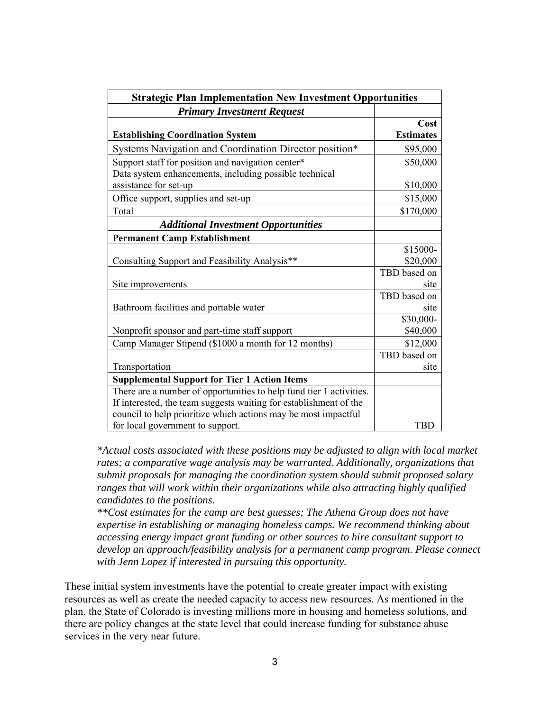| <b>Strategic Plan Implementation New Investment Opportunities</b>               |                          |
|---------------------------------------------------------------------------------|--------------------------|
| <b>Primary Investment Request</b>                                               |                          |
| <b>Establishing Coordination System</b>                                         | Cost<br><b>Estimates</b> |
| Systems Navigation and Coordination Director position*                          | \$95,000                 |
| Support staff for position and navigation center*                               | \$50,000                 |
| Data system enhancements, including possible technical<br>assistance for set-up | \$10,000                 |
| Office support, supplies and set-up                                             | \$15,000                 |
| Total                                                                           | \$170,000                |
| <b>Additional Investment Opportunities</b>                                      |                          |
| <b>Permanent Camp Establishment</b>                                             |                          |
|                                                                                 | \$15000-                 |
| Consulting Support and Feasibility Analysis**                                   | \$20,000                 |
|                                                                                 | TBD based on             |
| Site improvements                                                               | site                     |
| Bathroom facilities and portable water                                          | TBD based on<br>site     |
| Nonprofit sponsor and part-time staff support                                   | \$30,000-<br>\$40,000    |
| Camp Manager Stipend (\$1000 a month for 12 months)                             | \$12,000                 |
|                                                                                 | TBD based on             |
| Transportation                                                                  | site                     |
| <b>Supplemental Support for Tier 1 Action Items</b>                             |                          |
| There are a number of opportunities to help fund tier 1 activities.             |                          |
| If interested, the team suggests waiting for establishment of the               |                          |
| council to help prioritize which actions may be most impactful                  |                          |
| for local government to support.                                                | TBD                      |

*\*Actual costs associated with these positions may be adjusted to align with local market rates; a comparative wage analysis may be warranted. Additionally, organizations that submit proposals for managing the coordination system should submit proposed salary ranges that will work within their organizations while also attracting highly qualified candidates to the positions.* 

*\*\*Cost estimates for the camp are best guesses; The Athena Group does not have expertise in establishing or managing homeless camps. We recommend thinking about accessing energy impact grant funding or other sources to hire consultant support to develop an approach/feasibility analysis for a permanent camp program. Please connect with Jenn Lopez if interested in pursuing this opportunity.* 

These initial system investments have the potential to create greater impact with existing resources as well as create the needed capacity to access new resources. As mentioned in the plan, the State of Colorado is investing millions more in housing and homeless solutions, and there are policy changes at the state level that could increase funding for substance abuse services in the very near future.